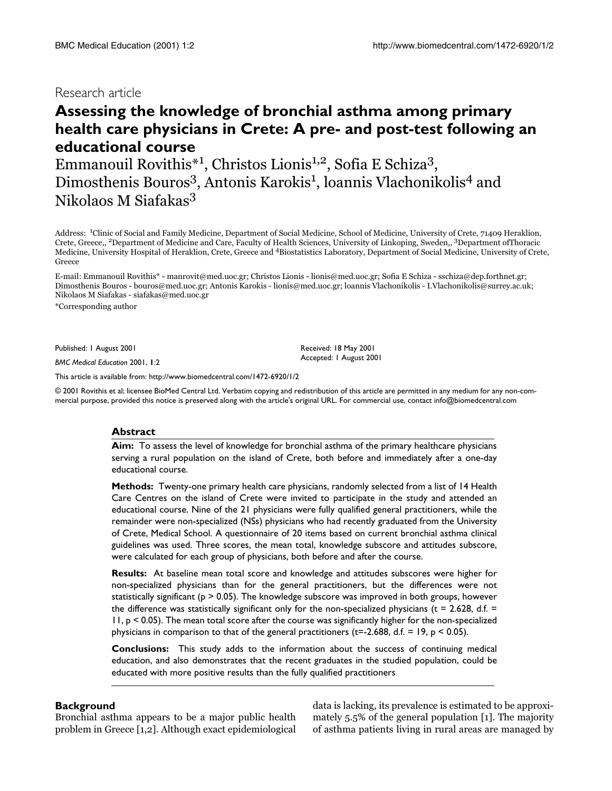## Research article

# **Assessing the knowledge of bronchial asthma among primary health care physicians in Crete: A pre- and post-test following an educational course**

Emmanouil Rovithis<sup>\*1</sup>, Christos Lionis<sup>1,2</sup>, Sofia E Schiza<sup>3</sup>, Dimosthenis Bouros<sup>3</sup>, Antonis Karokis<sup>1</sup>, loannis Vlachonikolis<sup>4</sup> and Nikolaos M Siafakas<sup>3</sup>

Address: <sup>1</sup>Clinic of Social and Family Medicine, Department of Social Medicine, School of Medicine, University of Crete, 71409 Heraklion, Crete, Greece,, <sup>2</sup>Department of Medicine and Care, Faculty of Health Sciences, University of Linkoping, Sweden,, <sup>3</sup>Department ofThoracic Medicine, University Hospital of Heraklion, Crete, Greece and 4Biostatistics Laboratory, Department of Social Medicine, University of Crete, Greece

E-mail: Emmanouil Rovithis\* - manrovit@med.uoc.gr; Christos Lionis - lionis@med.uoc.gr; Sofia E Schiza - sschiza@dep.forthnet.gr; Dimosthenis Bouros - bouros@med.uoc.gr; Antonis Karokis - lionis@med.uoc.gr; loannis Vlachonikolis - I.Vlachonikolis@surrey.ac.uk; Nikolaos M Siafakas - siafakas@med.uoc.gr

\*Corresponding author

Published: 1 August 2001

*BMC Medical Education* 2001, **1**:2

[This article is available from: http://www.biomedcentral.com/1472-6920/1/2](http://www.biomedcentral.com/1472-6920/1/2)

© 2001 Rovithis et al; licensee BioMed Central Ltd. Verbatim copying and redistribution of this article are permitted in any medium for any non-commercial purpose, provided this notice is preserved along with the article's original URL. For commercial use, contact info@biomedcentral.com

Received: 18 May 2001 Accepted: 1 August 2001

### **Abstract**

**Aim:** To assess the level of knowledge for bronchial asthma of the primary healthcare physicians serving a rural population on the island of Crete, both before and immediately after a one-day educational course.

**Methods:** Twenty-one primary health care physicians, randomly selected from a list of 14 Health Care Centres on the island of Crete were invited to participate in the study and attended an educational course. Nine of the 21 physicians were fully qualified general practitioners, while the remainder were non-specialized (NSs) physicians who had recently graduated from the University of Crete, Medical School. A questionnaire of 20 items based on current bronchial asthma clinical guidelines was used. Three scores, the mean total, knowledge subscore and attitudes subscore, were calculated for each group of physicians, both before and after the course.

**Results:** At baseline mean total score and knowledge and attitudes subscores were higher for non-specialized physicians than for the general practitioners, but the differences were not statistically significant ( $p > 0.05$ ). The knowledge subscore was improved in both groups, however the difference was statistically significant only for the non-specialized physicians ( $t = 2.628$ , d.f. = 11, p < 0.05). The mean total score after the course was significantly higher for the non-specialized physicians in comparison to that of the general practitioners ( $t = -2.688$ , d.f. = 19,  $p < 0.05$ ).

**Conclusions:** This study adds to the information about the success of continuing medical education, and also demonstrates that the recent graduates in the studied population, could be educated with more positive results than the fully qualified practitioners

## **Background**

Bronchial asthma appears to be a major public health problem in Greece [\[1](#page-4-0)[,2\]](#page-4-1). Although exact epidemiological data is lacking, its prevalence is estimated to be approximately 5.5% of the general population [[1](#page-4-0)]. The majority of asthma patients living in rural areas are managed by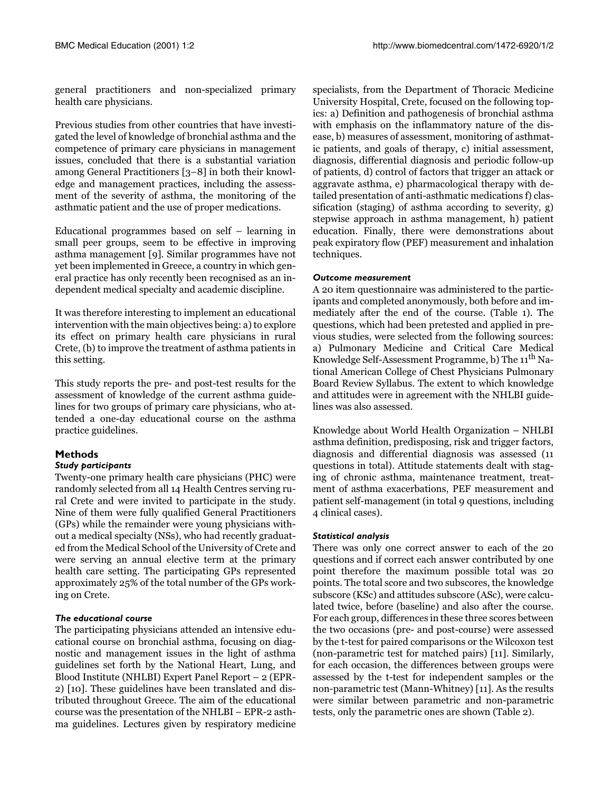general practitioners and non-specialized primary health care physicians.

Previous studies from other countries that have investigated the level of knowledge of bronchial asthma and the competence of primary care physicians in management issues, concluded that there is a substantial variation among General Practitioners [[3](#page-4-2)[–8](#page-4-3)] in both their knowledge and management practices, including the assessment of the severity of asthma, the monitoring of the asthmatic patient and the use of proper medications.

Educational programmes based on self – learning in small peer groups, seem to be effective in improving asthma management [\[9\]](#page-4-4). Similar programmes have not yet been implemented in Greece, a country in which general practice has only recently been recognised as an independent medical specialty and academic discipline.

It was therefore interesting to implement an educational intervention with the main objectives being: a) to explore its effect on primary health care physicians in rural Crete, (b) to improve the treatment of asthma patients in this setting.

This study reports the pre- and post-test results for the assessment of knowledge of the current asthma guidelines for two groups of primary care physicians, who attended a one-day educational course on the asthma practice guidelines.

## **Methods**

### *Study participants*

Twenty-one primary health care physicians (PHC) were randomly selected from all 14 Health Centres serving rural Crete and were invited to participate in the study. Nine of them were fully qualified General Practitioners (GPs) while the remainder were young physicians without a medical specialty (NSs), who had recently graduated from the Medical School of the University of Crete and were serving an annual elective term at the primary health care setting. The participating GPs represented approximately 25% of the total number of the GPs working on Crete.

### *The educational course*

The participating physicians attended an intensive educational course on bronchial asthma, focusing on diagnostic and management issues in the light of asthma guidelines set forth by the National Heart, Lung, and Blood Institute (NHLBI) Expert Panel Report – 2 (EPR-2) [\[10](#page-4-5)]. These guidelines have been translated and distributed throughout Greece. The aim of the educational course was the presentation of the NHLBI – EPR-2 asthma guidelines. Lectures given by respiratory medicine

specialists, from the Department of Thoracic Medicine University Hospital, Crete, focused on the following topics: a) Definition and pathogenesis of bronchial asthma with emphasis on the inflammatory nature of the disease, b) measures of assessment, monitoring of asthmatic patients, and goals of therapy, c) initial assessment, diagnosis, differential diagnosis and periodic follow-up of patients, d) control of factors that trigger an attack or aggravate asthma, e) pharmacological therapy with detailed presentation of anti-asthmatic medications f) classification (staging) of asthma according to severity, g) stepwise approach in asthma management, h) patient education. Finally, there were demonstrations about peak expiratory flow (PEF) measurement and inhalation techniques.

## *Outcome measurement*

A 20 item questionnaire was administered to the participants and completed anonymously, both before and immediately after the end of the course. (Table [1\)](#page-1-0). The questions, which had been pretested and applied in previous studies, were selected from the following sources: a) Pulmonary Medicine and Critical Care Medical Knowledge Self-Assessment Programme, b) The 11<sup>th</sup> National American College of Chest Physicians Pulmonary Board Review Syllabus. The extent to which knowledge and attitudes were in agreement with the NHLBI guidelines was also assessed.

<span id="page-1-0"></span>Knowledge about World Health Organization – NHLBI asthma definition, predisposing, risk and trigger factors, diagnosis and differential diagnosis was assessed (11 questions in total). Attitude statements dealt with staging of chronic asthma, maintenance treatment, treatment of asthma exacerbations, PEF measurement and patient self-management (in total 9 questions, including 4 clinical cases).

## *Statistical analysis*

There was only one correct answer to each of the 20 questions and if correct each answer contributed by one point therefore the maximum possible total was 20 points. The total score and two subscores, the knowledge subscore (KSc) and attitudes subscore (ASc), were calculated twice, before (baseline) and also after the course. For each group, differences in these three scores between the two occasions (pre- and post-course) were assessed by the t-test for paired comparisons or the Wilcoxon test (non-parametric test for matched pairs) [[11](#page-4-6)]. Similarly, for each occasion, the differences between groups were assessed by the t-test for independent samples or the non-parametric test (Mann-Whitney) [[11\]](#page-4-6). As the results were similar between parametric and non-parametric tests, only the parametric ones are shown (Table [2](#page-2-0)).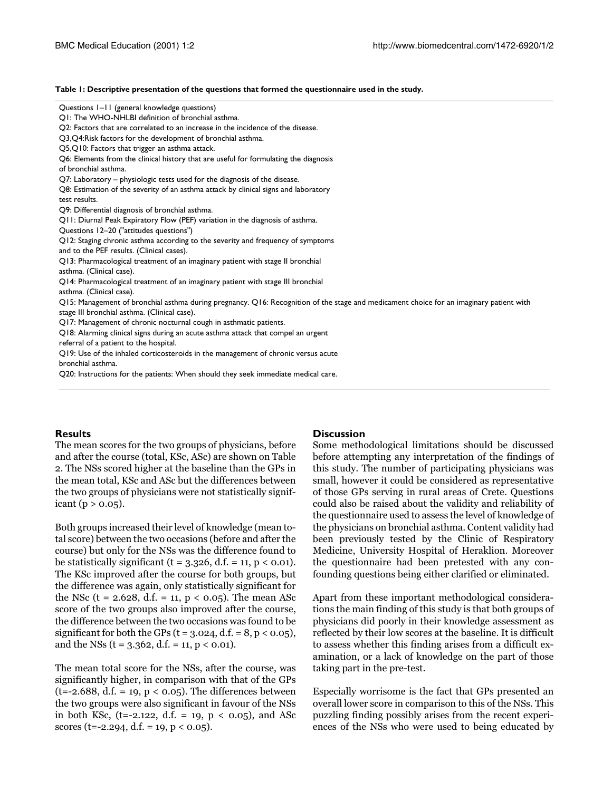**Table 1: Descriptive presentation of the questions that formed the questionnaire used in the study.**

| Questions I-II (general knowledge questions)                                                                                            |
|-----------------------------------------------------------------------------------------------------------------------------------------|
| O1: The WHO-NHLBI definition of bronchial asthma.                                                                                       |
| Q2: Factors that are correlated to an increase in the incidence of the disease.                                                         |
| Q3,Q4:Risk factors for the development of bronchial asthma.                                                                             |
| Q5,Q10: Factors that trigger an asthma attack.                                                                                          |
| Q6: Elements from the clinical history that are useful for formulating the diagnosis                                                    |
| of bronchial asthma.                                                                                                                    |
| Q7: Laboratory – physiologic tests used for the diagnosis of the disease.                                                               |
| Q8: Estimation of the severity of an asthma attack by clinical signs and laboratory                                                     |
| test results.                                                                                                                           |
| Q9: Differential diagnosis of bronchial asthma.                                                                                         |
| Q11: Diurnal Peak Expiratory Flow (PEF) variation in the diagnosis of asthma.                                                           |
| Questions 12-20 ("attitudes questions")                                                                                                 |
| Q12: Staging chronic asthma according to the severity and frequency of symptoms                                                         |
| and to the PEF results. (Clinical cases).                                                                                               |
| Q13: Pharmacological treatment of an imaginary patient with stage II bronchial                                                          |
| asthma. (Clinical case).                                                                                                                |
| Q14: Pharmacological treatment of an imaginary patient with stage III bronchial                                                         |
| asthma. (Clinical case).                                                                                                                |
| Q15: Management of bronchial asthma during pregnancy. Q16: Recognition of the stage and medicament choice for an imaginary patient with |
| stage III bronchial asthma. (Clinical case).                                                                                            |
| Q17: Management of chronic nocturnal cough in asthmatic patients.                                                                       |
| Q18: Alarming clinical signs during an acute asthma attack that compel an urgent                                                        |
| referral of a patient to the hospital.                                                                                                  |
| Q19: Use of the inhaled corticosteroids in the management of chronic versus acute                                                       |
| bronchial asthma.                                                                                                                       |
| Q20: Instructions for the patients: When should they seek immediate medical care.                                                       |
|                                                                                                                                         |

## **Results**

The mean scores for the two groups of physicians, before and after the course (total, KSc, ASc) are shown on Table [2](#page-2-0). The NSs scored higher at the baseline than the GPs in the mean total, KSc and ASc but the differences between the two groups of physicians were not statistically significant ( $p > 0.05$ ).

Both groups increased their level of knowledge (mean total score) between the two occasions (before and after the course) but only for the NSs was the difference found to be statistically significant (t =  $3.326$ , d.f. = 11, p < 0.01). The KSc improved after the course for both groups, but the difference was again, only statistically significant for the NSc (t = 2.628, d.f. = 11,  $p < 0.05$ ). The mean ASc score of the two groups also improved after the course, the difference between the two occasions was found to be significant for both the GPs ( $t = 3.024$ , d.f. = 8, p < 0.05), and the NSs (t =  $3.362$ , d.f. = 11, p < 0.01).

The mean total score for the NSs, after the course, was significantly higher, in comparison with that of the GPs  $(t=-2.688, d.f. = 19, p < 0.05)$ . The differences between the two groups were also significant in favour of the NSs in both KSc, (t=-2.122, d.f. = 19,  $p < 0.05$ ), and ASc scores (t=-2.294, d.f. = 19,  $p < 0.05$ ).

## **Discussion**

<span id="page-2-0"></span>Some methodological limitations should be discussed before attempting any interpretation of the findings of this study. The number of participating physicians was small, however it could be considered as representative of those GPs serving in rural areas of Crete. Questions could also be raised about the validity and reliability of the questionnaire used to assess the level of knowledge of the physicians on bronchial asthma. Content validity had been previously tested by the Clinic of Respiratory Medicine, University Hospital of Heraklion. Moreover the questionnaire had been pretested with any confounding questions being either clarified or eliminated.

Apart from these important methodological considerations the main finding of this study is that both groups of physicians did poorly in their knowledge assessment as reflected by their low scores at the baseline. It is difficult to assess whether this finding arises from a difficult examination, or a lack of knowledge on the part of those taking part in the pre-test.

Especially worrisome is the fact that GPs presented an overall lower score in comparison to this of the NSs. This puzzling finding possibly arises from the recent experiences of the NSs who were used to being educated by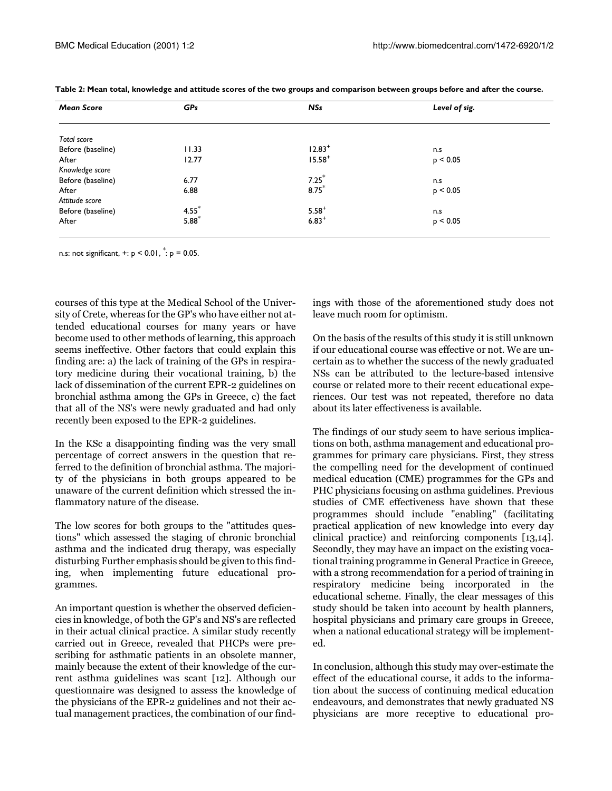| <b>Mean Score</b>  | <b>GPs</b> | <b>NSs</b>  | Level of sig. |  |
|--------------------|------------|-------------|---------------|--|
|                    |            |             |               |  |
| <b>Total score</b> |            |             |               |  |
| Before (baseline)  | 11.33      | $12.83^{+}$ | n.s           |  |
| After              | 12.77      | $15.58^{+}$ | p < 0.05      |  |
| Knowledge score    |            |             |               |  |
| Before (baseline)  | 6.77       | $7.25*$     | n.s           |  |
| After              | 6.88       | $8.75*$     | p < 0.05      |  |
| Attitude score     |            |             |               |  |
| Before (baseline)  | $4.55*$    | $5.58^{+}$  | n.s           |  |
| After              | $5.88*$    | $6.83^{+}$  | p < 0.05      |  |
|                    |            |             |               |  |

**Table 2: Mean total, knowledge and attitude scores of the two groups and comparison between groups before and after the course.**

n.s: not significant, +: p < 0.01, \* : p = 0.05.

courses of this type at the Medical School of the University of Crete, whereas for the GP's who have either not attended educational courses for many years or have become used to other methods of learning, this approach seems ineffective. Other factors that could explain this finding are: a) the lack of training of the GPs in respiratory medicine during their vocational training, b) the lack of dissemination of the current EPR-2 guidelines on bronchial asthma among the GPs in Greece, c) the fact that all of the NS's were newly graduated and had only recently been exposed to the EPR-2 guidelines.

In the KSc a disappointing finding was the very small percentage of correct answers in the question that referred to the definition of bronchial asthma. The majority of the physicians in both groups appeared to be unaware of the current definition which stressed the inflammatory nature of the disease.

The low scores for both groups to the "attitudes questions" which assessed the staging of chronic bronchial asthma and the indicated drug therapy, was especially disturbing Further emphasis should be given to this finding, when implementing future educational programmes.

An important question is whether the observed deficiencies in knowledge, of both the GP's and NS's are reflected in their actual clinical practice. A similar study recently carried out in Greece, revealed that PHCPs were prescribing for asthmatic patients in an obsolete manner, mainly because the extent of their knowledge of the current asthma guidelines was scant [[12](#page-4-7)]. Although our questionnaire was designed to assess the knowledge of the physicians of the EPR-2 guidelines and not their actual management practices, the combination of our find-

ings with those of the aforementioned study does not leave much room for optimism.

On the basis of the results of this study it is still unknown if our educational course was effective or not. We are uncertain as to whether the success of the newly graduated NSs can be attributed to the lecture-based intensive course or related more to their recent educational experiences. Our test was not repeated, therefore no data about its later effectiveness is available.

The findings of our study seem to have serious implications on both, asthma management and educational programmes for primary care physicians. First, they stress the compelling need for the development of continued medical education (CME) programmes for the GPs and PHC physicians focusing on asthma guidelines. Previous studies of CME effectiveness have shown that these programmes should include "enabling" (facilitating practical application of new knowledge into every day clinical practice) and reinforcing components [[13,](#page-4-8)[14\]](#page-4-9). Secondly, they may have an impact on the existing vocational training programme in General Practice in Greece, with a strong recommendation for a period of training in respiratory medicine being incorporated in the educational scheme. Finally, the clear messages of this study should be taken into account by health planners, hospital physicians and primary care groups in Greece, when a national educational strategy will be implemented.

In conclusion, although this study may over-estimate the effect of the educational course, it adds to the information about the success of continuing medical education endeavours, and demonstrates that newly graduated NS physicians are more receptive to educational pro